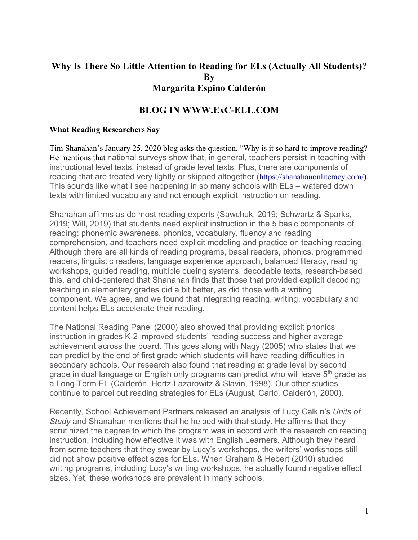# **Why Is There So Little Attention to Reading for ELs (Actually All Students)? By Margarita Espino Calderón**

# **BLOG IN WWW.ExC-ELL.COM**

### **What Reading Researchers Say**

Tim Shanahan's January 25, 2020 blog asks the question, "Why is it so hard to improve reading? He mentions that national surveys show that, in general, teachers persist in teaching with instructional level texts, instead of grade level texts. Plus, there are components of reading that are treated very lightly or skipped altogether (https://shanahanonliteracy.com/). This sounds like what I see happening in so many schools with ELs – watered down texts with limited vocabulary and not enough explicit instruction on reading.

Shanahan affirms as do most reading experts (Sawchuk, 2019; Schwartz & Sparks, 2019; Will, 2019) that students need explicit instruction in the 5 basic components of reading: phonemic awareness, phonics, vocabulary, fluency and reading comprehension, and teachers need explicit modeling and practice on teaching reading. Although there are all kinds of reading programs, basal readers, phonics, programmed readers, linguistic readers, language experience approach, balanced literacy, reading workshops, guided reading, multiple cueing systems, decodable texts, research-based this, and child-centered that Shanahan finds that those that provided explicit decoding teaching in elementary grades did a bit better, as did those with a writing component. We agree, and we found that integrating reading, writing, vocabulary and content helps ELs accelerate their reading.

The National Reading Panel (2000) also showed that providing explicit phonics instruction in grades K-2 improved students' reading success and higher average achievement across the board. This goes along with Nagy (2005) who states that we can predict by the end of first grade which students will have reading difficulties in secondary schools. Our research also found that reading at grade level by second grade in dual language or English only programs can predict who will leave 5<sup>th</sup> grade as a Long-Term EL (Calderón, Hertz-Lazarowitz & Slavin, 1998). Our other studies continue to parcel out reading strategies for ELs (August, Carlo, Calderón, 2000).

Recently, School Achievement Partners released an analysis of Lucy Calkin's *Units of Study* and Shanahan mentions that he helped with that study. He affirms that they scrutinized the degree to which the program was in accord with the research on reading instruction, including how effective it was with English Learners. Although they heard from some teachers that they swear by Lucy's workshops, the writers' workshops still did not show positive effect sizes for ELs. When Graham & Hebert (2010) studied writing programs, including Lucy's writing workshops, he actually found negative effect sizes. Yet, these workshops are prevalent in many schools.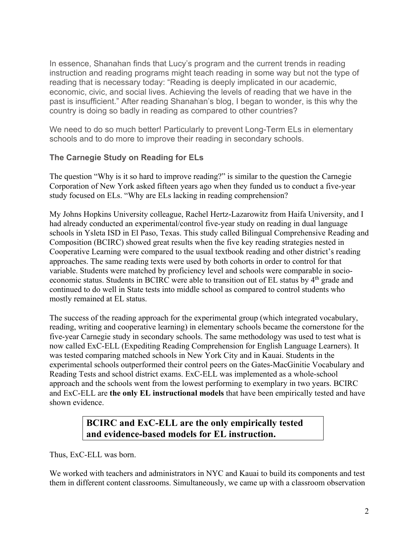In essence, Shanahan finds that Lucy's program and the current trends in reading instruction and reading programs might teach reading in some way but not the type of reading that is necessary today: "Reading is deeply implicated in our academic, economic, civic, and social lives. Achieving the levels of reading that we have in the past is insufficient." After reading Shanahan's blog, I began to wonder, is this why the country is doing so badly in reading as compared to other countries?

We need to do so much better! Particularly to prevent Long-Term ELs in elementary schools and to do more to improve their reading in secondary schools.

## **The Carnegie Study on Reading for ELs**

The question "Why is it so hard to improve reading?" is similar to the question the Carnegie Corporation of New York asked fifteen years ago when they funded us to conduct a five-year study focused on ELs. "Why are ELs lacking in reading comprehension?

My Johns Hopkins University colleague, Rachel Hertz-Lazarowitz from Haifa University, and I had already conducted an experimental/control five-year study on reading in dual language schools in Ysleta ISD in El Paso, Texas. This study called Bilingual Comprehensive Reading and Composition (BCIRC) showed great results when the five key reading strategies nested in Cooperative Learning were compared to the usual textbook reading and other district's reading approaches. The same reading texts were used by both cohorts in order to control for that variable. Students were matched by proficiency level and schools were comparable in socioeconomic status. Students in BCIRC were able to transition out of EL status by 4<sup>th</sup> grade and continued to do well in State tests into middle school as compared to control students who mostly remained at EL status.

The success of the reading approach for the experimental group (which integrated vocabulary, reading, writing and cooperative learning) in elementary schools became the cornerstone for the five-year Carnegie study in secondary schools. The same methodology was used to test what is now called ExC-ELL (Expediting Reading Comprehension for English Language Learners). It was tested comparing matched schools in New York City and in Kauai. Students in the experimental schools outperformed their control peers on the Gates-MacGinitie Vocabulary and Reading Tests and school district exams. ExC-ELL was implemented as a whole-school approach and the schools went from the lowest performing to exemplary in two years. BCIRC and ExC-ELL are **the only EL instructional models** that have been empirically tested and have shown evidence.

# **BCIRC and ExC-ELL are the only empirically tested and evidence-based models for EL instruction.**

Thus, ExC-ELL was born.

We worked with teachers and administrators in NYC and Kauai to build its components and test them in different content classrooms. Simultaneously, we came up with a classroom observation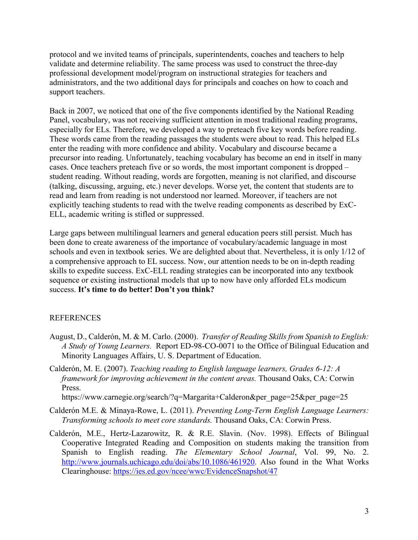protocol and we invited teams of principals, superintendents, coaches and teachers to help validate and determine reliability. The same process was used to construct the three-day professional development model/program on instructional strategies for teachers and administrators, and the two additional days for principals and coaches on how to coach and support teachers.

Back in 2007, we noticed that one of the five components identified by the National Reading Panel, vocabulary, was not receiving sufficient attention in most traditional reading programs, especially for ELs. Therefore, we developed a way to preteach five key words before reading. These words came from the reading passages the students were about to read. This helped ELs enter the reading with more confidence and ability. Vocabulary and discourse became a precursor into reading. Unfortunately, teaching vocabulary has become an end in itself in many cases. Once teachers preteach five or so words, the most important component is dropped – student reading. Without reading, words are forgotten, meaning is not clarified, and discourse (talking, discussing, arguing, etc.) never develops. Worse yet, the content that students are to read and learn from reading is not understood nor learned. Moreover, if teachers are not explicitly teaching students to read with the twelve reading components as described by ExC-ELL, academic writing is stifled or suppressed.

Large gaps between multilingual learners and general education peers still persist. Much has been done to create awareness of the importance of vocabulary/academic language in most schools and even in textbook series. We are delighted about that. Nevertheless, it is only 1/12 of a comprehensive approach to EL success. Now, our attention needs to be on in-depth reading skills to expedite success. ExC-ELL reading strategies can be incorporated into any textbook sequence or existing instructional models that up to now have only afforded ELs modicum success. **It's time to do better! Don't you think?**

#### REFERENCES

- August, D., Calderón, M. & M. Carlo. (2000). *Transfer of Reading Skills from Spanish to English: A Study of Young Learners.* Report ED-98-CO-0071 to the Office of Bilingual Education and Minority Languages Affairs, U. S. Department of Education.
- Calderón, M. E. (2007). *Teaching reading to English language learners, Grades 6-12: A framework for improving achievement in the content areas.* Thousand Oaks, CA: Corwin Press.

https://www.carnegie.org/search/?q=Margarita+Calderon&per\_page=25&per\_page=25

- Calderón M.E. & Minaya-Rowe, L. (2011). *Preventing Long-Term English Language Learners: Transforming schools to meet core standards.* Thousand Oaks, CA: Corwin Press.
- Calderón, M.E., Hertz-Lazarowitz, R. & R.E. Slavin. (Nov. 1998). Effects of Bilingual Cooperative Integrated Reading and Composition on students making the transition from Spanish to English reading. *The Elementary School Journal*, Vol. 99, No. 2. http://www.journals.uchicago.edu/doi/abs/10.1086/461920. Also found in the What Works Clearinghouse: https://ies.ed.gov/ncee/wwc/EvidenceSnapshot/47